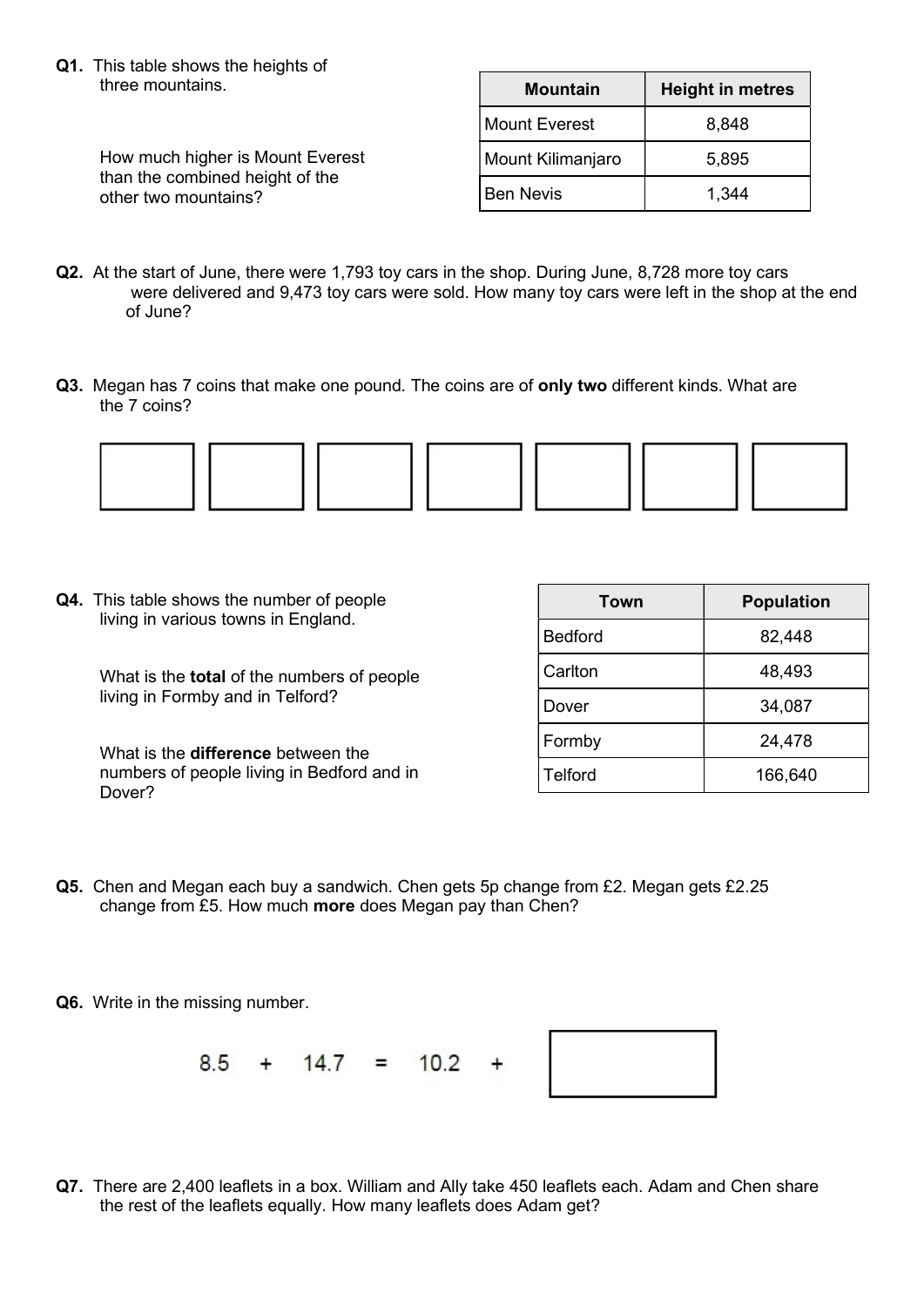Q1. This table shows the heights of three mountains.

> How much higher is Mount Everest than the combined height of the other two mountains?

| <b>Mountain</b>   | <b>Height in metres</b> |  |  |  |
|-------------------|-------------------------|--|--|--|
| Mount Everest     | 8,848                   |  |  |  |
| Mount Kilimanjaro | 5,895                   |  |  |  |
| <b>Ben Nevis</b>  | 1,344                   |  |  |  |

- Q2. At the start of June, there were 1,793 toy cars in the shop. During June, 8,728 more toy cars were delivered and 9,473 toy cars were sold. How many toy cars were left in the shop at the end of June?
- Q3. Megan has 7 coins that make one pound. The coins are of only two different kinds. What are the 7 coins?



Q4. This table shows the number of people living in various towns in England.

> What is the **total** of the numbers of people living in Formby and in Telford?

> What is the **difference** between the numbers of people living in Bedford and in Dover?

| Town           | <b>Population</b> |  |  |  |
|----------------|-------------------|--|--|--|
| <b>Bedford</b> | 82,448            |  |  |  |
| Carlton        | 48,493            |  |  |  |
| Dover          | 34,087            |  |  |  |
| Formby         | 24,478            |  |  |  |
| Telford        | 166,640           |  |  |  |

- Q5. Chen and Megan each buy a sandwich. Chen gets 5p change from £2. Megan gets £2.25 change from £5. How much more does Megan pay than Chen?
- Q6. Write in the missing number.

 $8.5 + 14.7 = 10.2$  $\ddot{}$ 



Q7. There are 2,400 leaflets in a box. William and Ally take 450 leaflets each. Adam and Chen share the rest of the leaflets equally. How many leaflets does Adam get?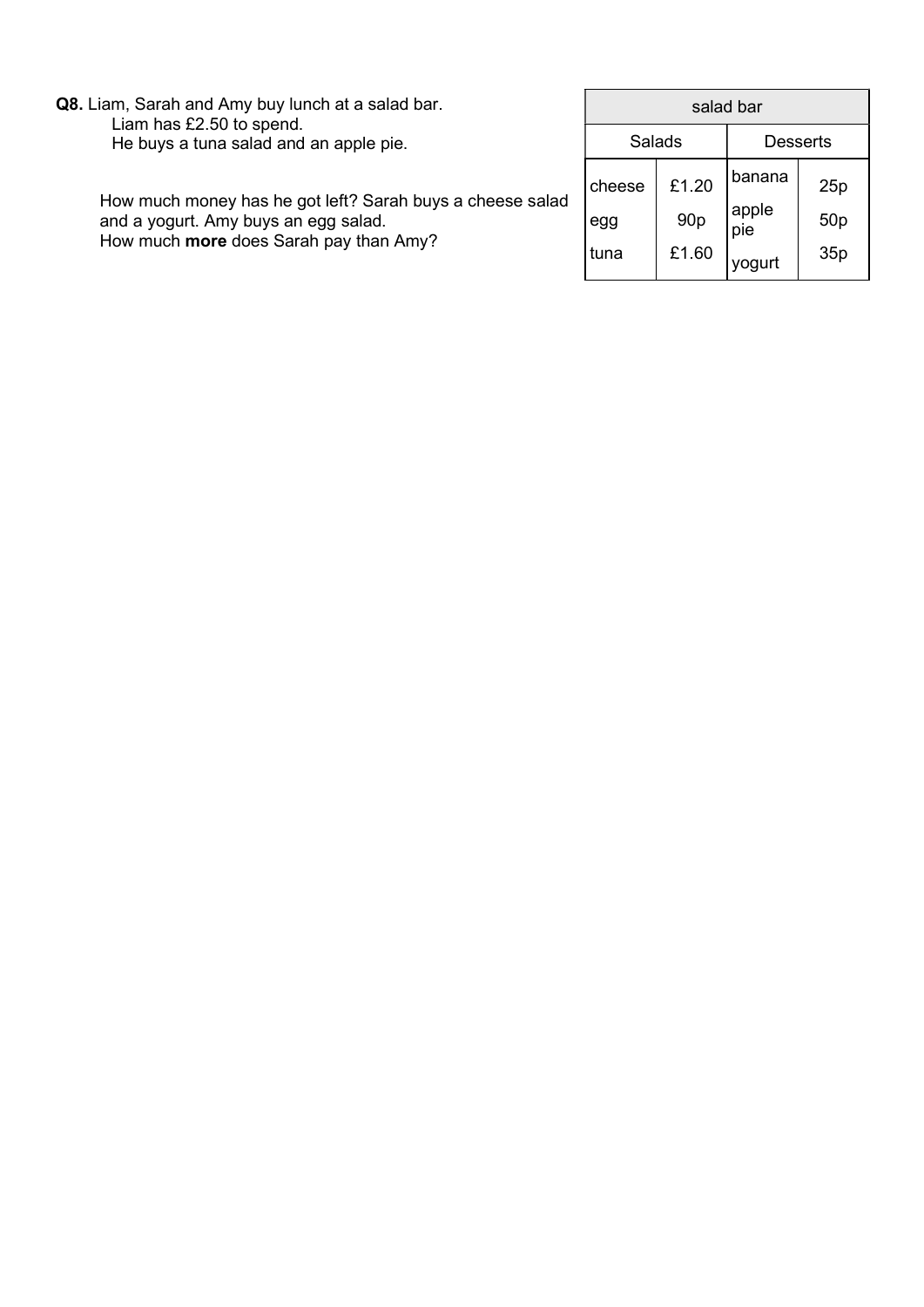| Q8. Liam, Sarah and Amy buy lunch at a salad bar.<br>Liam has £2.50 to spend.<br>He buys a tuna salad and an apple pie.                     | salad bar             |                                   |                                  |                               |
|---------------------------------------------------------------------------------------------------------------------------------------------|-----------------------|-----------------------------------|----------------------------------|-------------------------------|
|                                                                                                                                             |                       | <b>Salads</b>                     | <b>Desserts</b>                  |                               |
| How much money has he got left? Sarah buys a cheese salad<br>and a yogurt. Amy buys an egg salad.<br>How much more does Sarah pay than Amy? | cheese<br>egg<br>tuna | £1.20<br>90 <sub>p</sub><br>£1.60 | banana<br>apple<br>pie<br>yoguri | 25p<br>50 <sub>p</sub><br>35p |